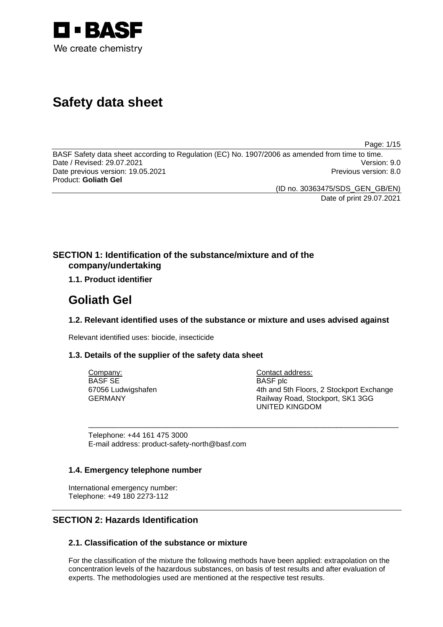

# **Safety data sheet**

Page: 1/15

BASF Safety data sheet according to Regulation (EC) No. 1907/2006 as amended from time to time. Date / Revised: 29.07.2021 Version: 9.0 Date previous version: 19.05.2021 **Previous version: 8.0** Previous version: 8.0 Product: **Goliath Gel** 

(ID no. 30363475/SDS\_GEN\_GB/EN)

Date of print 29.07.2021

# **SECTION 1: Identification of the substance/mixture and of the company/undertaking**

# **1.1. Product identifier**

# **Goliath Gel**

# **1.2. Relevant identified uses of the substance or mixture and uses advised against**

\_\_\_\_\_\_\_\_\_\_\_\_\_\_\_\_\_\_\_\_\_\_\_\_\_\_\_\_\_\_\_\_\_\_\_\_\_\_\_\_\_\_\_\_\_\_\_\_\_\_\_\_\_\_\_\_\_\_\_\_\_\_\_\_\_\_\_\_\_\_\_\_\_\_\_

Relevant identified uses: biocide, insecticide

# **1.3. Details of the supplier of the safety data sheet**

Company: BASF SE 67056 Ludwigshafen GERMANY

Contact address: BASF plc 4th and 5th Floors, 2 Stockport Exchange Railway Road, Stockport, SK1 3GG UNITED KINGDOM

Telephone: +44 161 475 3000 E-mail address: product-safety-north@basf.com

# **1.4. Emergency telephone number**

International emergency number: Telephone: +49 180 2273-112

# **SECTION 2: Hazards Identification**

# **2.1. Classification of the substance or mixture**

For the classification of the mixture the following methods have been applied: extrapolation on the concentration levels of the hazardous substances, on basis of test results and after evaluation of experts. The methodologies used are mentioned at the respective test results.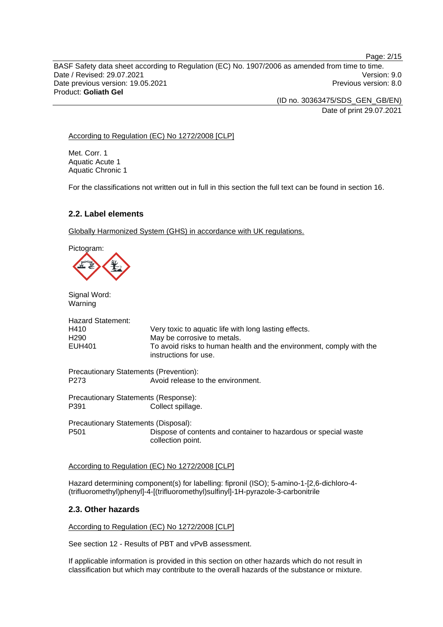BASF Safety data sheet according to Regulation (EC) No. 1907/2006 as amended from time to time. Date / Revised: 29.07.2021 Version: 9.0 Date previous version: 19.05.2021 **Previous version: 8.0** Previous version: 8.0 Product: **Goliath Gel** 

> (ID no. 30363475/SDS\_GEN\_GB/EN) Date of print 29.07.2021

### According to Regulation (EC) No 1272/2008 [CLP]

Met. Corr. 1 Aquatic Acute 1 Aquatic Chronic 1

For the classifications not written out in full in this section the full text can be found in section 16.

# **2.2. Label elements**

Globally Harmonized System (GHS) in accordance with UK regulations.

Pictogram:

Signal Word: Warning

| <b>Hazard Statement:</b>                      |                                                                                              |
|-----------------------------------------------|----------------------------------------------------------------------------------------------|
| H410                                          | Very toxic to aquatic life with long lasting effects.                                        |
| H290                                          | May be corrosive to metals.                                                                  |
| EUH401                                        | To avoid risks to human health and the environment, comply with the<br>instructions for use. |
| <b>Precautionary Statements (Prevention):</b> |                                                                                              |
| P273                                          | Avoid release to the environment.                                                            |
| Precautionary Statements (Response):          |                                                                                              |
| P391                                          | Collect spillage.                                                                            |
| Precautionary Statements (Disposal):          |                                                                                              |
| P501                                          | Dispose of contents and container to hazardous or special waste<br>collection point.         |
|                                               |                                                                                              |

#### According to Regulation (EC) No 1272/2008 [CLP]

Hazard determining component(s) for labelling: fipronil (ISO); 5-amino-1-[2,6-dichloro-4- (trifluoromethyl)phenyl]-4-[(trifluoromethyl)sulfinyl]-1H-pyrazole-3-carbonitrile

# **2.3. Other hazards**

According to Regulation (EC) No 1272/2008 [CLP]

See section 12 - Results of PBT and vPvB assessment.

If applicable information is provided in this section on other hazards which do not result in classification but which may contribute to the overall hazards of the substance or mixture.

Page: 2/15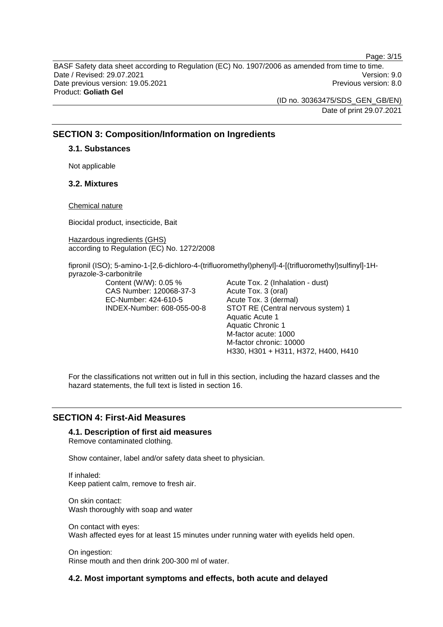Page: 3/15

BASF Safety data sheet according to Regulation (EC) No. 1907/2006 as amended from time to time. Date / Revised: 29.07.2021 Version: 9.0 Date previous version: 19.05.2021 **Date previous version: 8.0** Previous version: 8.0 Product: **Goliath Gel** 

> (ID no. 30363475/SDS\_GEN\_GB/EN) Date of print 29.07.2021

# **SECTION 3: Composition/Information on Ingredients**

#### **3.1. Substances**

Not applicable

# **3.2. Mixtures**

Chemical nature

Biocidal product, insecticide, Bait

Hazardous ingredients (GHS) according to Regulation (EC) No. 1272/2008

fipronil (ISO); 5-amino-1-[2,6-dichloro-4-(trifluoromethyl)phenyl]-4-[(trifluoromethyl)sulfinyl]-1Hpyrazole-3-carbonitrile

> Content (W/W): 0.05 % CAS Number: 120068-37-3 EC-Number: 424-610-5 INDEX-Number: 608-055-00-8

Acute Tox. 2 (Inhalation - dust) Acute Tox. 3 (oral) Acute Tox. 3 (dermal) STOT RE (Central nervous system) 1 Aquatic Acute 1 Aquatic Chronic 1 M-factor acute: 1000 M-factor chronic: 10000 H330, H301 + H311, H372, H400, H410

For the classifications not written out in full in this section, including the hazard classes and the hazard statements, the full text is listed in section 16.

# **SECTION 4: First-Aid Measures**

#### **4.1. Description of first aid measures**

Remove contaminated clothing.

Show container, label and/or safety data sheet to physician.

If inhaled: Keep patient calm, remove to fresh air.

On skin contact: Wash thoroughly with soap and water

On contact with eyes: Wash affected eyes for at least 15 minutes under running water with eyelids held open.

On ingestion: Rinse mouth and then drink 200-300 ml of water.

# **4.2. Most important symptoms and effects, both acute and delayed**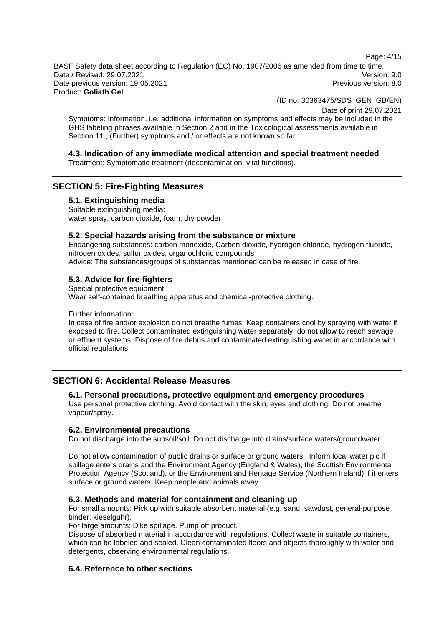Page: 4/15

BASF Safety data sheet according to Regulation (EC) No. 1907/2006 as amended from time to time. Date / Revised: 29.07.2021 Version: 9.0 Date previous version: 19.05.2021 **Date previous version: 8.0** Previous version: 8.0 Product: **Goliath Gel** 

(ID no. 30363475/SDS\_GEN\_GB/EN)

Date of print 29.07.2021

Symptoms: Information, i.e. additional information on symptoms and effects may be included in the GHS labeling phrases available in Section 2 and in the Toxicological assessments available in Section 11., (Further) symptoms and / or effects are not known so far

# **4.3. Indication of any immediate medical attention and special treatment needed**

Treatment: Symptomatic treatment (decontamination, vital functions).

# **SECTION 5: Fire-Fighting Measures**

# **5.1. Extinguishing media**

Suitable extinguishing media: water spray, carbon dioxide, foam, dry powder

#### **5.2. Special hazards arising from the substance or mixture**

Endangering substances: carbon monoxide, Carbon dioxide, hydrogen chloride, hydrogen fluoride, nitrogen oxides, sulfur oxides, organochloric compounds Advice: The substances/groups of substances mentioned can be released in case of fire.

# **5.3. Advice for fire-fighters**

Special protective equipment: Wear self-contained breathing apparatus and chemical-protective clothing.

Further information:

In case of fire and/or explosion do not breathe fumes. Keep containers cool by spraying with water if exposed to fire. Collect contaminated extinguishing water separately, do not allow to reach sewage or effluent systems. Dispose of fire debris and contaminated extinguishing water in accordance with official regulations.

# **SECTION 6: Accidental Release Measures**

#### **6.1. Personal precautions, protective equipment and emergency procedures**

Use personal protective clothing. Avoid contact with the skin, eyes and clothing. Do not breathe vapour/spray.

# **6.2. Environmental precautions**

Do not discharge into the subsoil/soil. Do not discharge into drains/surface waters/groundwater.

Do not allow contamination of public drains or surface or ground waters. Inform local water plc if spillage enters drains and the Environment Agency (England & Wales), the Scottish Environmental Protection Agency (Scotland), or the Environment and Heritage Service (Northern Ireland) if it enters surface or ground waters. Keep people and animals away.

# **6.3. Methods and material for containment and cleaning up**

For small amounts: Pick up with suitable absorbent material (e.g. sand, sawdust, general-purpose binder, kieselguhr).

For large amounts: Dike spillage. Pump off product.

Dispose of absorbed material in accordance with regulations. Collect waste in suitable containers, which can be labeled and sealed. Clean contaminated floors and objects thoroughly with water and detergents, observing environmental regulations.

# **6.4. Reference to other sections**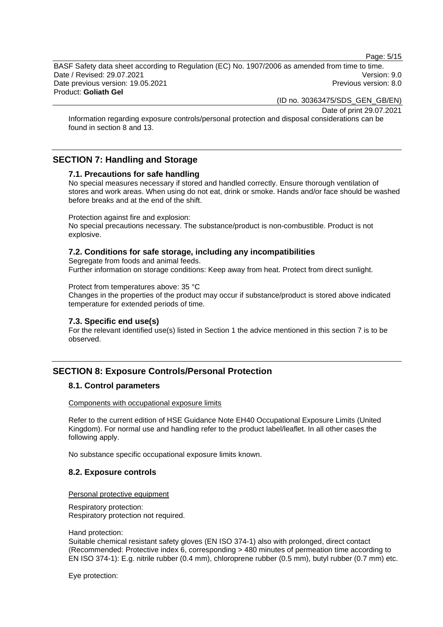Page: 5/15

BASF Safety data sheet according to Regulation (EC) No. 1907/2006 as amended from time to time. Date / Revised: 29.07.2021 Version: 9.0 Date previous version: 19.05.2021 **Date previous version: 8.0** Previous version: 8.0 Product: **Goliath Gel** 

(ID no. 30363475/SDS\_GEN\_GB/EN)

Date of print 29.07.2021

Information regarding exposure controls/personal protection and disposal considerations can be found in section 8 and 13.

# **SECTION 7: Handling and Storage**

#### **7.1. Precautions for safe handling**

No special measures necessary if stored and handled correctly. Ensure thorough ventilation of stores and work areas. When using do not eat, drink or smoke. Hands and/or face should be washed before breaks and at the end of the shift.

Protection against fire and explosion:

No special precautions necessary. The substance/product is non-combustible. Product is not explosive.

# **7.2. Conditions for safe storage, including any incompatibilities**

Segregate from foods and animal feeds. Further information on storage conditions: Keep away from heat. Protect from direct sunlight.

Protect from temperatures above: 35 °C

Changes in the properties of the product may occur if substance/product is stored above indicated temperature for extended periods of time.

# **7.3. Specific end use(s)**

For the relevant identified use(s) listed in Section 1 the advice mentioned in this section 7 is to be observed.

# **SECTION 8: Exposure Controls/Personal Protection**

# **8.1. Control parameters**

Components with occupational exposure limits

Refer to the current edition of HSE Guidance Note EH40 Occupational Exposure Limits (United Kingdom). For normal use and handling refer to the product label/leaflet. In all other cases the following apply.

No substance specific occupational exposure limits known.

# **8.2. Exposure controls**

#### Personal protective equipment

Respiratory protection: Respiratory protection not required.

#### Hand protection:

Suitable chemical resistant safety gloves (EN ISO 374-1) also with prolonged, direct contact (Recommended: Protective index 6, corresponding > 480 minutes of permeation time according to EN ISO 374-1): E.g. nitrile rubber (0.4 mm), chloroprene rubber (0.5 mm), butyl rubber (0.7 mm) etc.

Eye protection: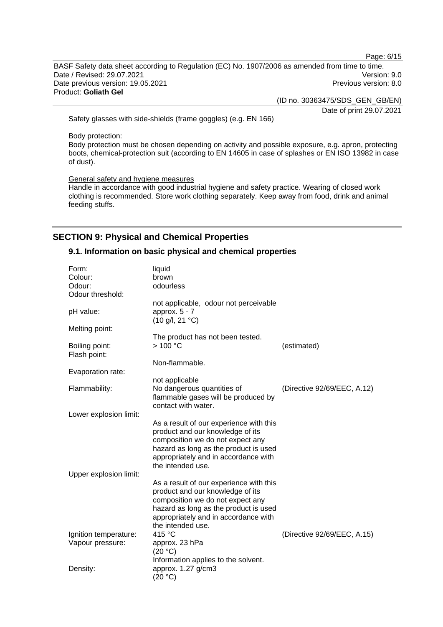Page: 6/15

BASF Safety data sheet according to Regulation (EC) No. 1907/2006 as amended from time to time. Date / Revised: 29.07.2021 Version: 9.0 Date previous version: 19.05.2021 **Previous version: 8.0** Previous version: 8.0 Product: **Goliath Gel** 

(ID no. 30363475/SDS\_GEN\_GB/EN)

Date of print 29.07.2021

Safety glasses with side-shields (frame goggles) (e.g. EN 166)

Body protection:

Body protection must be chosen depending on activity and possible exposure, e.g. apron, protecting boots, chemical-protection suit (according to EN 14605 in case of splashes or EN ISO 13982 in case of dust).

General safety and hygiene measures

Handle in accordance with good industrial hygiene and safety practice. Wearing of closed work clothing is recommended. Store work clothing separately. Keep away from food, drink and animal feeding stuffs.

# **SECTION 9: Physical and Chemical Properties**

#### **9.1. Information on basic physical and chemical properties**

| Form:<br>Colour:<br>Odour:<br>Odour threshold: | liquid<br>brown<br>odourless                                                                                                                                                                                          |                             |
|------------------------------------------------|-----------------------------------------------------------------------------------------------------------------------------------------------------------------------------------------------------------------------|-----------------------------|
| pH value:                                      | not applicable, odour not perceivable<br>approx. $5 - 7$<br>$(10 \text{ g/l}, 21 \text{ }^{\circ}\text{C})$                                                                                                           |                             |
| Melting point:                                 | The product has not been tested.                                                                                                                                                                                      |                             |
| Boiling point:<br>Flash point:                 | >100 °C                                                                                                                                                                                                               | (estimated)                 |
| Evaporation rate:                              | Non-flammable.                                                                                                                                                                                                        |                             |
|                                                | not applicable                                                                                                                                                                                                        |                             |
| Flammability:                                  | No dangerous quantities of<br>flammable gases will be produced by<br>contact with water.                                                                                                                              | (Directive 92/69/EEC, A.12) |
| Lower explosion limit:                         |                                                                                                                                                                                                                       |                             |
|                                                | As a result of our experience with this<br>product and our knowledge of its<br>composition we do not expect any<br>hazard as long as the product is used<br>appropriately and in accordance with<br>the intended use. |                             |
| Upper explosion limit:                         |                                                                                                                                                                                                                       |                             |
|                                                | As a result of our experience with this<br>product and our knowledge of its<br>composition we do not expect any<br>hazard as long as the product is used<br>appropriately and in accordance with<br>the intended use. |                             |
| Ignition temperature:                          | 415 °C                                                                                                                                                                                                                | (Directive 92/69/EEC, A.15) |
| Vapour pressure:                               | approx. 23 hPa<br>(20 °C)                                                                                                                                                                                             |                             |
|                                                | Information applies to the solvent.                                                                                                                                                                                   |                             |
| Density:                                       | approx. 1.27 g/cm3<br>(20 °C)                                                                                                                                                                                         |                             |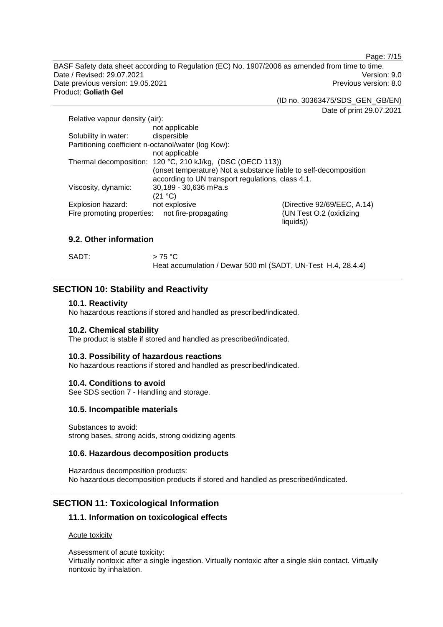Page: 7/15

BASF Safety data sheet according to Regulation (EC) No. 1907/2006 as amended from time to time. Date / Revised: 29.07.2021 Version: 9.0 Date previous version: 19.05.2021 **Previous version: 8.0** Previous version: 8.0 Product: **Goliath Gel** 

(ID no. 30363475/SDS\_GEN\_GB/EN)

Date of print 29.07.2021

| Relative vapour density (air):                      |                                                                  |                                      |
|-----------------------------------------------------|------------------------------------------------------------------|--------------------------------------|
|                                                     | not applicable                                                   |                                      |
| Solubility in water:                                | dispersible                                                      |                                      |
| Partitioning coefficient n-octanol/water (log Kow): |                                                                  |                                      |
|                                                     | not applicable                                                   |                                      |
|                                                     | Thermal decomposition: 120 °C, 210 kJ/kg, (DSC (OECD 113))       |                                      |
|                                                     | (onset temperature) Not a substance liable to self-decomposition |                                      |
|                                                     | according to UN transport regulations, class 4.1.                |                                      |
| Viscosity, dynamic:                                 | 30,189 - 30,636 mPa.s                                            |                                      |
|                                                     | (21 °C)                                                          |                                      |
| Explosion hazard:                                   | not explosive                                                    | (Directive 92/69/EEC, A.14)          |
| Fire promoting properties:                          | not fire-propagating                                             | (UN Test O.2 (oxidizing<br>liquids)) |

# **9.2. Other information**

SADT:  $> 75 \degree C$ 

Heat accumulation / Dewar 500 ml (SADT, UN-Test H.4, 28.4.4)

# **SECTION 10: Stability and Reactivity**

#### **10.1. Reactivity**

No hazardous reactions if stored and handled as prescribed/indicated.

#### **10.2. Chemical stability**

The product is stable if stored and handled as prescribed/indicated.

#### **10.3. Possibility of hazardous reactions**

No hazardous reactions if stored and handled as prescribed/indicated.

#### **10.4. Conditions to avoid**

See SDS section 7 - Handling and storage.

#### **10.5. Incompatible materials**

Substances to avoid: strong bases, strong acids, strong oxidizing agents

#### **10.6. Hazardous decomposition products**

Hazardous decomposition products: No hazardous decomposition products if stored and handled as prescribed/indicated.

# **SECTION 11: Toxicological Information**

#### **11.1. Information on toxicological effects**

Acute toxicity

Assessment of acute toxicity: Virtually nontoxic after a single ingestion. Virtually nontoxic after a single skin contact. Virtually nontoxic by inhalation.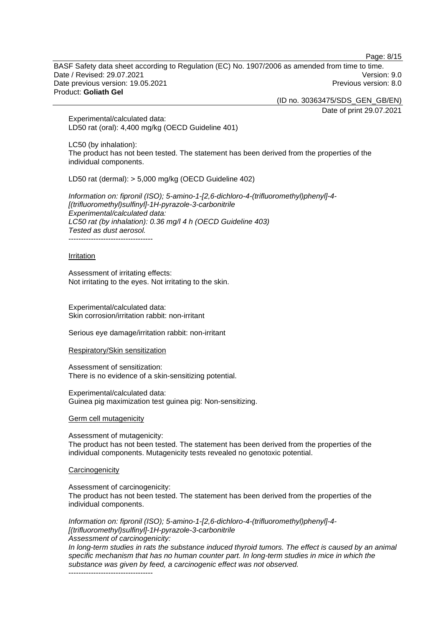Page: 8/15

BASF Safety data sheet according to Regulation (EC) No. 1907/2006 as amended from time to time. Date / Revised: 29.07.2021 Version: 9.0 Date previous version: 19.05.2021 **Date previous version: 8.0** Previous version: 8.0 Product: **Goliath Gel** 

(ID no. 30363475/SDS\_GEN\_GB/EN)

Date of print 29.07.2021

Experimental/calculated data: LD50 rat (oral): 4,400 mg/kg (OECD Guideline 401)

LC50 (by inhalation): The product has not been tested. The statement has been derived from the properties of the individual components.

LD50 rat (dermal): > 5,000 mg/kg (OECD Guideline 402)

*Information on: fipronil (ISO); 5-amino-1-[2,6-dichloro-4-(trifluoromethyl)phenyl]-4- [(trifluoromethyl)sulfinyl]-1H-pyrazole-3-carbonitrile Experimental/calculated data: LC50 rat (by inhalation): 0.36 mg/l 4 h (OECD Guideline 403) Tested as dust aerosol.*  -----------------------------------

#### **Irritation**

Assessment of irritating effects: Not irritating to the eyes. Not irritating to the skin.

Experimental/calculated data: Skin corrosion/irritation rabbit: non-irritant

Serious eye damage/irritation rabbit: non-irritant

#### Respiratory/Skin sensitization

Assessment of sensitization: There is no evidence of a skin-sensitizing potential.

Experimental/calculated data: Guinea pig maximization test guinea pig: Non-sensitizing.

#### Germ cell mutagenicity

Assessment of mutagenicity: The product has not been tested. The statement has been derived from the properties of the individual components. Mutagenicity tests revealed no genotoxic potential.

#### **Carcinogenicity**

Assessment of carcinogenicity:

The product has not been tested. The statement has been derived from the properties of the individual components.

*Information on: fipronil (ISO); 5-amino-1-[2,6-dichloro-4-(trifluoromethyl)phenyl]-4- [(trifluoromethyl)sulfinyl]-1H-pyrazole-3-carbonitrile*

*Assessment of carcinogenicity:* 

*In long-term studies in rats the substance induced thyroid tumors. The effect is caused by an animal specific mechanism that has no human counter part. In long-term studies in mice in which the substance was given by feed, a carcinogenic effect was not observed.* 

----------------------------------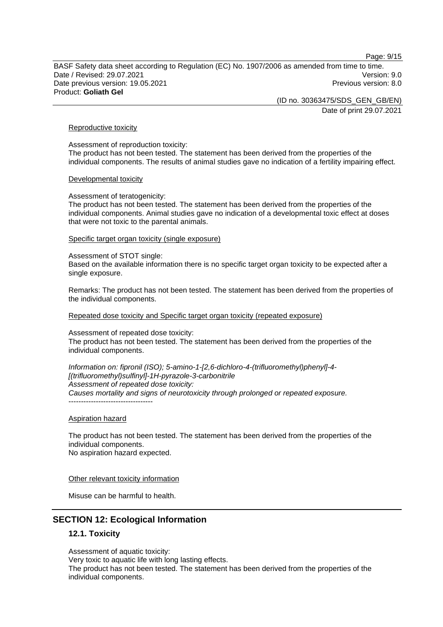Page: 9/15

BASF Safety data sheet according to Regulation (EC) No. 1907/2006 as amended from time to time. Date / Revised: 29.07.2021 Version: 9.0 Date previous version: 19.05.2021 **Date previous version: 8.0** Previous version: 8.0 Product: **Goliath Gel** 

(ID no. 30363475/SDS\_GEN\_GB/EN)

Date of print 29.07.2021

#### Reproductive toxicity

Assessment of reproduction toxicity: The product has not been tested. The statement has been derived from the properties of the individual components. The results of animal studies gave no indication of a fertility impairing effect.

#### Developmental toxicity

Assessment of teratogenicity:

The product has not been tested. The statement has been derived from the properties of the individual components. Animal studies gave no indication of a developmental toxic effect at doses that were not toxic to the parental animals.

#### Specific target organ toxicity (single exposure)

Assessment of STOT single: Based on the available information there is no specific target organ toxicity to be expected after a single exposure.

Remarks: The product has not been tested. The statement has been derived from the properties of the individual components.

Repeated dose toxicity and Specific target organ toxicity (repeated exposure)

Assessment of repeated dose toxicity: The product has not been tested. The statement has been derived from the properties of the individual components.

*Information on: fipronil (ISO); 5-amino-1-[2,6-dichloro-4-(trifluoromethyl)phenyl]-4- [(trifluoromethyl)sulfinyl]-1H-pyrazole-3-carbonitrile Assessment of repeated dose toxicity: Causes mortality and signs of neurotoxicity through prolonged or repeated exposure.* 

#### Aspiration hazard

----------------------------------

The product has not been tested. The statement has been derived from the properties of the individual components. No aspiration hazard expected.

#### Other relevant toxicity information

Misuse can be harmful to health.

# **SECTION 12: Ecological Information**

#### **12.1. Toxicity**

Assessment of aquatic toxicity: Very toxic to aquatic life with long lasting effects. The product has not been tested. The statement has been derived from the properties of the individual components.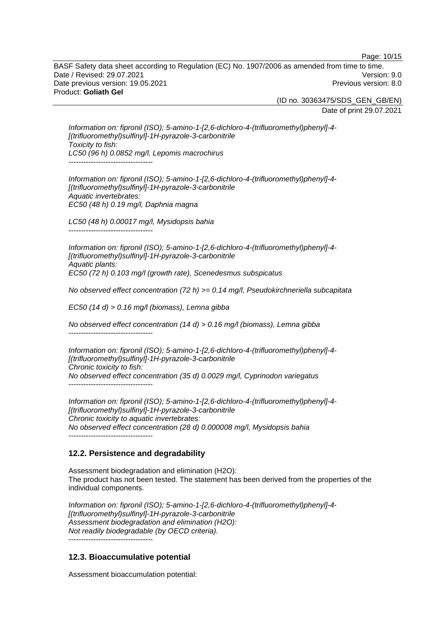Page: 10/15

BASF Safety data sheet according to Regulation (EC) No. 1907/2006 as amended from time to time. Date / Revised: 29.07.2021 Version: 9.0 Date previous version: 19.05.2021 **Date previous version: 8.0** Previous version: 8.0 Product: **Goliath Gel** 

(ID no. 30363475/SDS\_GEN\_GB/EN)

Date of print 29.07.2021

*Information on: fipronil (ISO); 5-amino-1-[2,6-dichloro-4-(trifluoromethyl)phenyl]-4- [(trifluoromethyl)sulfinyl]-1H-pyrazole-3-carbonitrile Toxicity to fish: LC50 (96 h) 0.0852 mg/l, Lepomis macrochirus*  -----------------------------------

*Information on: fipronil (ISO); 5-amino-1-[2,6-dichloro-4-(trifluoromethyl)phenyl]-4- [(trifluoromethyl)sulfinyl]-1H-pyrazole-3-carbonitrile Aquatic invertebrates: EC50 (48 h) 0.19 mg/l, Daphnia magna* 

*LC50 (48 h) 0.00017 mg/l, Mysidopsis bahia*  ----------------------------------

*Information on: fipronil (ISO); 5-amino-1-[2,6-dichloro-4-(trifluoromethyl)phenyl]-4- [(trifluoromethyl)sulfinyl]-1H-pyrazole-3-carbonitrile Aquatic plants: EC50 (72 h) 0.103 mg/l (growth rate), Scenedesmus subspicatus* 

*No observed effect concentration (72 h) >= 0.14 mg/l, Pseudokirchneriella subcapitata* 

*EC50 (14 d) > 0.16 mg/l (biomass), Lemna gibba* 

*No observed effect concentration (14 d) > 0.16 mg/l (biomass), Lemna gibba*  ----------------------------------

*Information on: fipronil (ISO); 5-amino-1-[2,6-dichloro-4-(trifluoromethyl)phenyl]-4- [(trifluoromethyl)sulfinyl]-1H-pyrazole-3-carbonitrile Chronic toxicity to fish: No observed effect concentration (35 d) 0.0029 mg/l, Cyprinodon variegatus*  ----------------------------------

*Information on: fipronil (ISO); 5-amino-1-[2,6-dichloro-4-(trifluoromethyl)phenyl]-4- [(trifluoromethyl)sulfinyl]-1H-pyrazole-3-carbonitrile Chronic toxicity to aquatic invertebrates: No observed effect concentration (28 d) 0.000008 mg/l, Mysidopsis bahia*  ----------------------------------

# **12.2. Persistence and degradability**

Assessment biodegradation and elimination (H2O): The product has not been tested. The statement has been derived from the properties of the individual components.

*Information on: fipronil (ISO); 5-amino-1-[2,6-dichloro-4-(trifluoromethyl)phenyl]-4- [(trifluoromethyl)sulfinyl]-1H-pyrazole-3-carbonitrile Assessment biodegradation and elimination (H2O): Not readily biodegradable (by OECD criteria).*  ----------------------------------

# **12.3. Bioaccumulative potential**

Assessment bioaccumulation potential: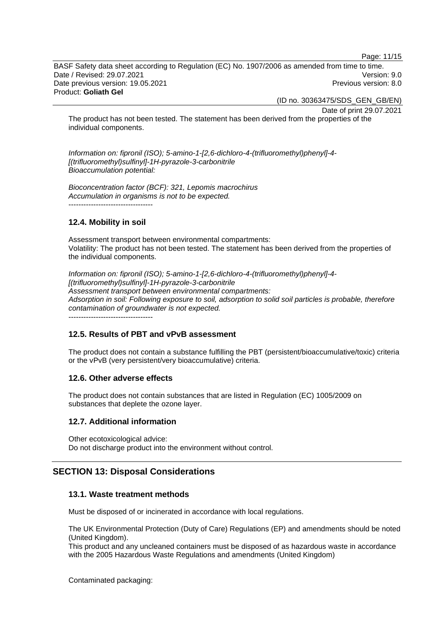Page: 11/15

BASF Safety data sheet according to Regulation (EC) No. 1907/2006 as amended from time to time. Date / Revised: 29.07.2021 Version: 9.0 Date previous version: 19.05.2021 **Date previous version: 8.0** Previous version: 8.0 Product: **Goliath Gel** 

(ID no. 30363475/SDS\_GEN\_GB/EN)

Date of print 29.07.2021

The product has not been tested. The statement has been derived from the properties of the individual components.

*Information on: fipronil (ISO); 5-amino-1-[2,6-dichloro-4-(trifluoromethyl)phenyl]-4- [(trifluoromethyl)sulfinyl]-1H-pyrazole-3-carbonitrile Bioaccumulation potential:* 

*Bioconcentration factor (BCF): 321, Lepomis macrochirus Accumulation in organisms is not to be expected.* 

# **12.4. Mobility in soil**

Assessment transport between environmental compartments: Volatility: The product has not been tested. The statement has been derived from the properties of the individual components.

*Information on: fipronil (ISO); 5-amino-1-[2,6-dichloro-4-(trifluoromethyl)phenyl]-4- [(trifluoromethyl)sulfinyl]-1H-pyrazole-3-carbonitrile Assessment transport between environmental compartments: Adsorption in soil: Following exposure to soil, adsorption to solid soil particles is probable, therefore contamination of groundwater is not expected.*

----------------------------------

# **12.5. Results of PBT and vPvB assessment**

The product does not contain a substance fulfilling the PBT (persistent/bioaccumulative/toxic) criteria or the vPvB (very persistent/very bioaccumulative) criteria.

# **12.6. Other adverse effects**

The product does not contain substances that are listed in Regulation (EC) 1005/2009 on substances that deplete the ozone layer.

# **12.7. Additional information**

Other ecotoxicological advice: Do not discharge product into the environment without control.

# **SECTION 13: Disposal Considerations**

#### **13.1. Waste treatment methods**

Must be disposed of or incinerated in accordance with local regulations.

The UK Environmental Protection (Duty of Care) Regulations (EP) and amendments should be noted (United Kingdom).

This product and any uncleaned containers must be disposed of as hazardous waste in accordance with the 2005 Hazardous Waste Regulations and amendments (United Kingdom)

Contaminated packaging: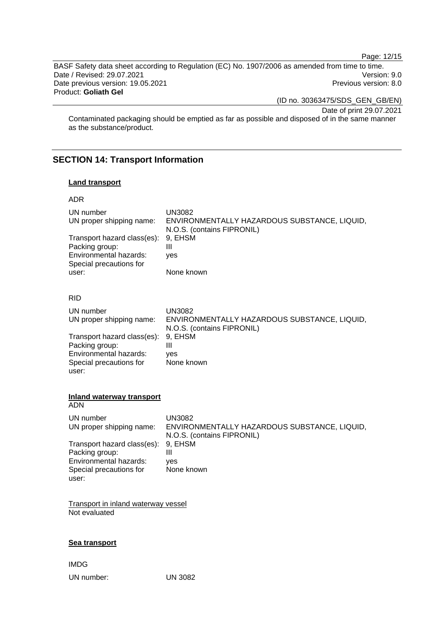Page: 12/15

BASF Safety data sheet according to Regulation (EC) No. 1907/2006 as amended from time to time. Date / Revised: 29.07.2021 Version: 9.0 Date previous version: 19.05.2021 and the version of the Previous version: 8.0 Product: **Goliath Gel** 

(ID no. 30363475/SDS\_GEN\_GB/EN)

Date of print 29.07.2021

Contaminated packaging should be emptied as far as possible and disposed of in the same manner as the substance/product.

# **SECTION 14: Transport Information**

#### **Land transport**

| ENVIRONMENTALLY HAZARDOUS SUBSTANCE, LIQUID,<br>ENVIRONMENTALLY HAZARDOUS SUBSTANCE, LIQUID, |
|----------------------------------------------------------------------------------------------|
|                                                                                              |
|                                                                                              |
|                                                                                              |
|                                                                                              |
|                                                                                              |
|                                                                                              |
| ENVIRONMENTALLY HAZARDOUS SUBSTANCE, LIQUID,                                                 |
|                                                                                              |
|                                                                                              |
|                                                                                              |
|                                                                                              |
|                                                                                              |
|                                                                                              |

IMDG

UN number: UN 3082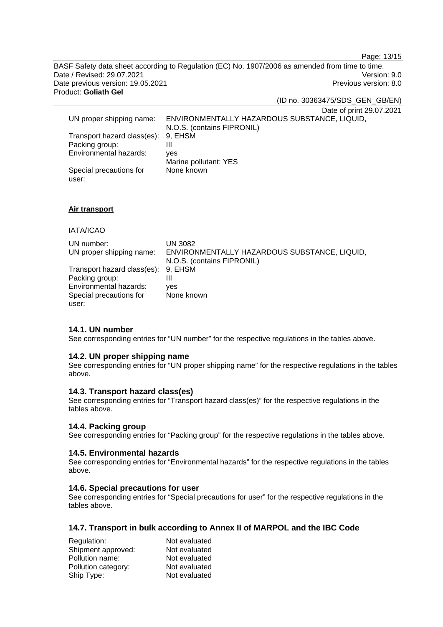Page: 13/15

BASF Safety data sheet according to Regulation (EC) No. 1907/2006 as amended from time to time. Date / Revised: 29.07.2021 Version: 9.0 Date previous version: 19.05.2021 **Previous version: 8.0** Previous version: 8.0 Product: **Goliath Gel** 

(ID no. 30363475/SDS\_GEN\_GB/EN)

Date of print 29.07.2021 UN proper shipping name: ENVIRONMENTALLY HAZARDOUS SUBSTANCE, LIQUID, N.O.S. (contains FIPRONIL) Transport hazard class(es): 9, EHSM Packing group: III Environmental hazards: yes Marine pollutant: YES Special precautions for None known

#### **Air transport**

# IATA/ICAO

user:

| UN number:                          | UN 3082                                      |
|-------------------------------------|----------------------------------------------|
| UN proper shipping name:            | ENVIRONMENTALLY HAZARDOUS SUBSTANCE, LIQUID, |
|                                     | N.O.S. (contains FIPRONIL)                   |
| Transport hazard class(es): 9, EHSM |                                              |
| Packing group:                      | Ш                                            |
| Environmental hazards:              | ves                                          |
| Special precautions for             | None known                                   |
| user:                               |                                              |

# **14.1. UN number**

See corresponding entries for "UN number" for the respective regulations in the tables above.

#### **14.2. UN proper shipping name**

See corresponding entries for "UN proper shipping name" for the respective regulations in the tables above.

#### **14.3. Transport hazard class(es)**

See corresponding entries for "Transport hazard class(es)" for the respective regulations in the tables above.

#### **14.4. Packing group**

See corresponding entries for "Packing group" for the respective regulations in the tables above.

#### **14.5. Environmental hazards**

See corresponding entries for "Environmental hazards" for the respective regulations in the tables above.

### **14.6. Special precautions for user**

See corresponding entries for "Special precautions for user" for the respective regulations in the tables above.

# **14.7. Transport in bulk according to Annex II of MARPOL and the IBC Code**

| Regulation:         | Not evaluated |
|---------------------|---------------|
| Shipment approved:  | Not evaluated |
| Pollution name:     | Not evaluated |
| Pollution category: | Not evaluated |
| Ship Type:          | Not evaluated |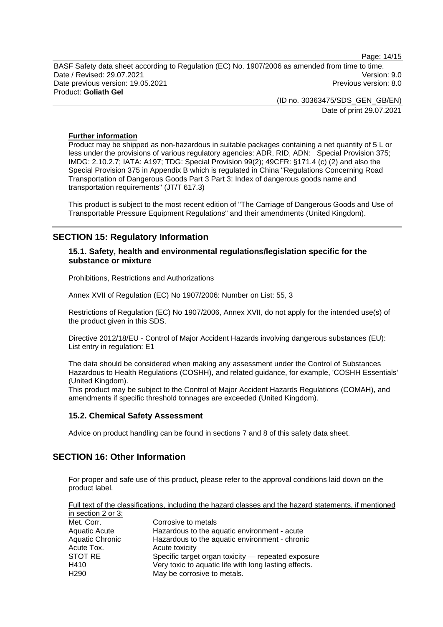Page: 14/15

BASF Safety data sheet according to Regulation (EC) No. 1907/2006 as amended from time to time. Date / Revised: 29.07.2021 Version: 9.0 Date previous version: 19.05.2021 **Date previous version: 8.0** Previous version: 8.0 Product: **Goliath Gel** 

> (ID no. 30363475/SDS\_GEN\_GB/EN) Date of print 29.07.2021

#### **Further information**

Product may be shipped as non-hazardous in suitable packages containing a net quantity of 5 L or less under the provisions of various regulatory agencies: ADR, RID, ADN: Special Provision 375; IMDG: 2.10.2.7; IATA: A197; TDG: Special Provision 99(2); 49CFR: §171.4 (c) (2) and also the Special Provision 375 in Appendix B which is regulated in China "Regulations Concerning Road Transportation of Dangerous Goods Part 3 Part 3: Index of dangerous goods name and transportation requirements" (JT/T 617.3)

This product is subject to the most recent edition of "The Carriage of Dangerous Goods and Use of Transportable Pressure Equipment Regulations" and their amendments (United Kingdom).

# **SECTION 15: Regulatory Information**

# **15.1. Safety, health and environmental regulations/legislation specific for the substance or mixture**

Prohibitions, Restrictions and Authorizations

Annex XVII of Regulation (EC) No 1907/2006: Number on List: 55, 3

Restrictions of Regulation (EC) No 1907/2006, Annex XVII, do not apply for the intended use(s) of the product given in this SDS.

Directive 2012/18/EU - Control of Major Accident Hazards involving dangerous substances (EU): List entry in regulation: E1

The data should be considered when making any assessment under the Control of Substances Hazardous to Health Regulations (COSHH), and related guidance, for example, 'COSHH Essentials' (United Kingdom).

This product may be subject to the Control of Major Accident Hazards Regulations (COMAH), and amendments if specific threshold tonnages are exceeded (United Kingdom).

# **15.2. Chemical Safety Assessment**

Advice on product handling can be found in sections 7 and 8 of this safety data sheet.

# **SECTION 16: Other Information**

For proper and safe use of this product, please refer to the approval conditions laid down on the product label.

|                    | Full text of the classifications, including the hazard classes and the hazard statements, if mentioned |
|--------------------|--------------------------------------------------------------------------------------------------------|
| in section 2 or 3: |                                                                                                        |
| Met. Corr.         | Corrosive to metals                                                                                    |
| Aquatic Acute      | Hazardous to the aquatic environment - acute                                                           |
| Aquatic Chronic    | Hazardous to the aquatic environment - chronic                                                         |
| Acute Tox.         | Acute toxicity                                                                                         |
| STOT RE            | Specific target organ toxicity — repeated exposure                                                     |
| H410               | Very toxic to aquatic life with long lasting effects.                                                  |
| H <sub>290</sub>   | May be corrosive to metals.                                                                            |